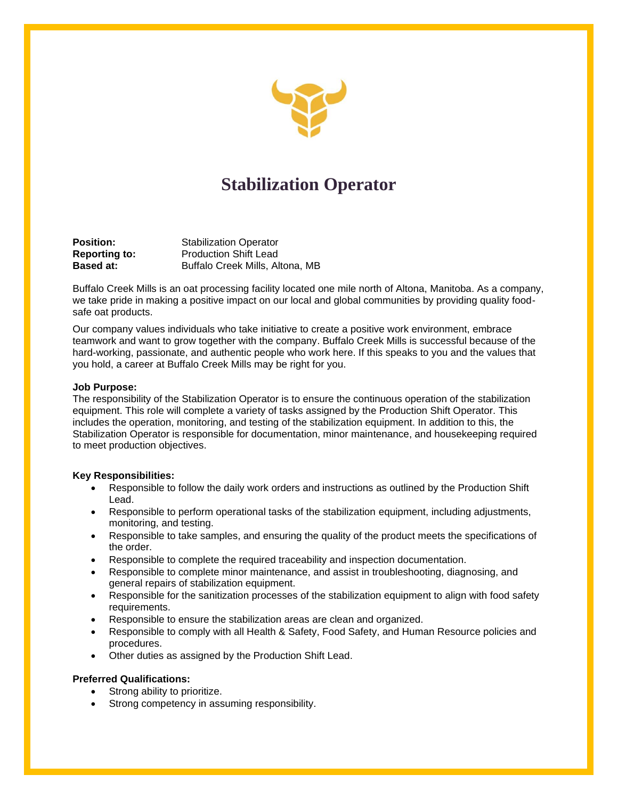

# **Stabilization Operator**

**Position: Stabilization Operator Reporting to:** Production Shift Lead **Based at: Buffalo Creek Mills, Altona, MB** 

Buffalo Creek Mills is an oat processing facility located one mile north of Altona, Manitoba. As a company, we take pride in making a positive impact on our local and global communities by providing quality foodsafe oat products.

Our company values individuals who take initiative to create a positive work environment, embrace teamwork and want to grow together with the company. Buffalo Creek Mills is successful because of the hard-working, passionate, and authentic people who work here. If this speaks to you and the values that you hold, a career at Buffalo Creek Mills may be right for you.

#### **Job Purpose:**

The responsibility of the Stabilization Operator is to ensure the continuous operation of the stabilization equipment. This role will complete a variety of tasks assigned by the Production Shift Operator. This includes the operation, monitoring, and testing of the stabilization equipment. In addition to this, the Stabilization Operator is responsible for documentation, minor maintenance, and housekeeping required to meet production objectives.

### **Key Responsibilities:**

- Responsible to follow the daily work orders and instructions as outlined by the Production Shift Lead.
- Responsible to perform operational tasks of the stabilization equipment, including adjustments, monitoring, and testing.
- Responsible to take samples, and ensuring the quality of the product meets the specifications of the order.
- Responsible to complete the required traceability and inspection documentation.
- Responsible to complete minor maintenance, and assist in troubleshooting, diagnosing, and general repairs of stabilization equipment.
- Responsible for the sanitization processes of the stabilization equipment to align with food safety requirements.
- Responsible to ensure the stabilization areas are clean and organized.
- Responsible to comply with all Health & Safety, Food Safety, and Human Resource policies and procedures.
- Other duties as assigned by the Production Shift Lead.

### **Preferred Qualifications:**

- Strong ability to prioritize.
- Strong competency in assuming responsibility.